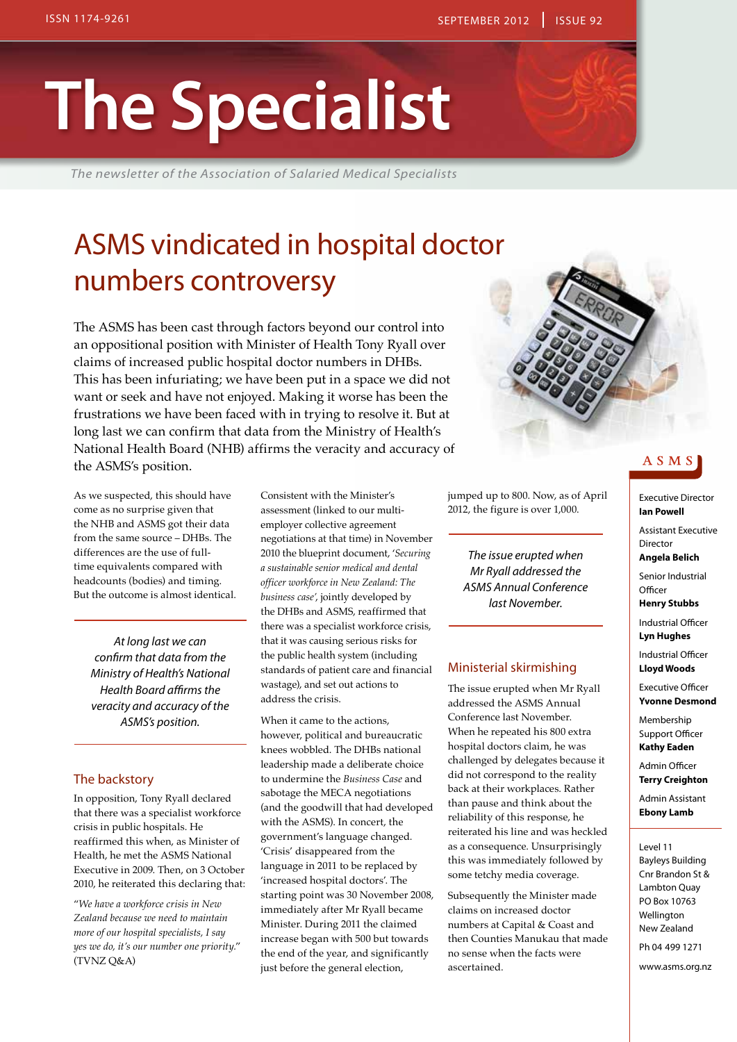# **The Specialist**

*The newsletter of the Association of Salaried Medical Specialists*

# ASMS vindicated in hospital doctor numbers controversy

The ASMS has been cast through factors beyond our control into an oppositional position with Minister of Health Tony Ryall over claims of increased public hospital doctor numbers in DHBs. This has been infuriating; we have been put in a space we did not want or seek and have not enjoyed. Making it worse has been the frustrations we have been faced with in trying to resolve it. But at long last we can confirm that data from the Ministry of Health's National Health Board (NHB) affirms the veracity and accuracy of the ASMS's position.

As we suspected, this should have come as no surprise given that the NHB and ASMS got their data from the same source – DHBs. The differences are the use of fulltime equivalents compared with headcounts (bodies) and timing. But the outcome is almost identical.

> *At long last we can confirm that data from the Ministry of Health's National Health Board affirms the veracity and accuracy of the ASMS's position.*

## The backstory

In opposition, Tony Ryall declared that there was a specialist workforce crisis in public hospitals. He reaffirmed this when, as Minister of Health, he met the ASMS National Executive in 2009. Then, on 3 October 2010, he reiterated this declaring that:

"*We have a workforce crisis in New Zealand because we need to maintain more of our hospital specialists, I say yes we do, it's our number one priority.*" (TVNZ Q&A)

Consistent with the Minister's assessment (linked to our multiemployer collective agreement negotiations at that time) in November 2010 the blueprint document, '*Securing a sustainable senior medical and dental officer workforce in New Zealand: The business case'*, jointly developed by the DHBs and ASMS, reaffirmed that there was a specialist workforce crisis, that it was causing serious risks for the public health system (including standards of patient care and financial wastage), and set out actions to address the crisis.

When it came to the actions, however, political and bureaucratic knees wobbled. The DHBs national leadership made a deliberate choice to undermine the *Business Case* and sabotage the MECA negotiations (and the goodwill that had developed with the ASMS). In concert, the government's language changed. 'Crisis' disappeared from the language in 2011 to be replaced by 'increased hospital doctors'. The starting point was 30 November 2008, immediately after Mr Ryall became Minister. During 2011 the claimed increase began with 500 but towards the end of the year, and significantly just before the general election,



jumped up to 800. Now, as of April 2012, the figure is over 1,000.

*The issue erupted when Mr Ryall addressed the ASMS Annual Conference last November.*

#### Ministerial skirmishing

The issue erupted when Mr Ryall addressed the ASMS Annual Conference last November. When he repeated his 800 extra hospital doctors claim, he was challenged by delegates because it did not correspond to the reality back at their workplaces. Rather than pause and think about the reliability of this response, he reiterated his line and was heckled as a consequence. Unsurprisingly this was immediately followed by some tetchy media coverage.

Subsequently the Minister made claims on increased doctor numbers at Capital & Coast and then Counties Manukau that made no sense when the facts were ascertained.

# ASMS

Executive Director **Ian Powell**

Assistant Executive **Director** 

**Angela Belich** Senior Industrial

**Officer Henry Stubbs**

Industrial Officer **Lyn Hughes**

Industrial Officer **Lloyd Woods**

Executive Officer **Yvonne Desmond**

Membership Support Officer **Kathy Eaden**

Admin Officer **Terry Creighton**

Admin Assistant **Ebony Lamb**

Level 11

Bayleys Building Cnr Brandon St & Lambton Quay PO Box 10763 Wellington New Zealand

Ph 04 499 1271

www.asms.org.nz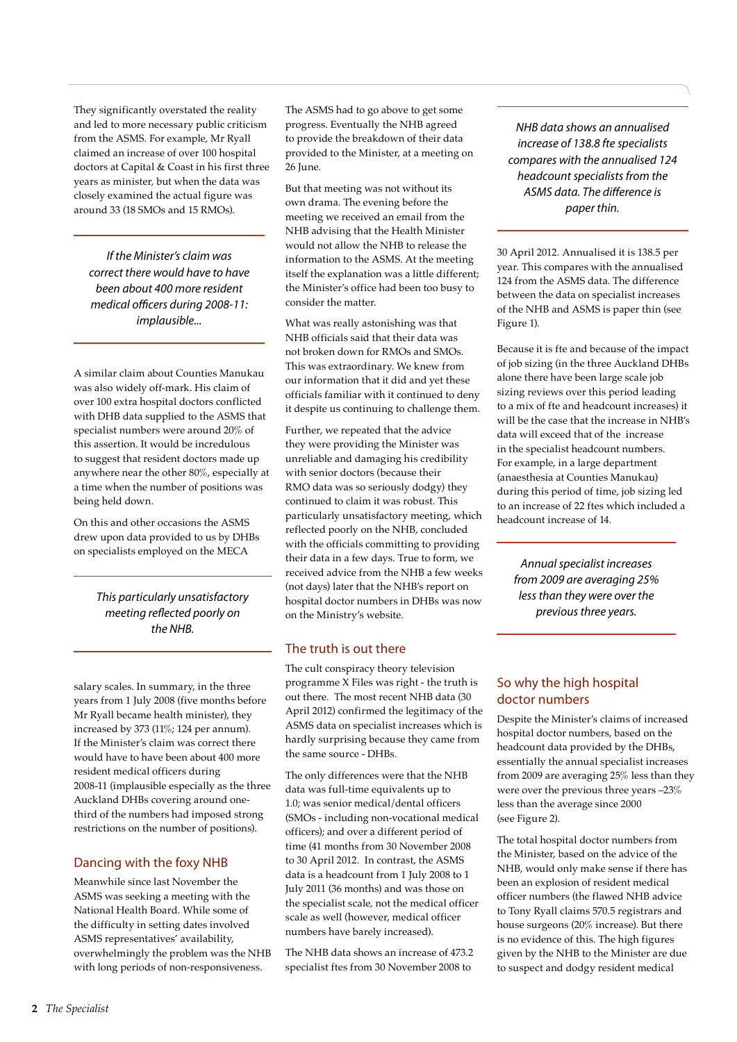They significantly overstated the reality and led to more necessary public criticism from the ASMS. For example, Mr Ryall claimed an increase of over 100 hospital doctors at Capital & Coast in his first three years as minister, but when the data was closely examined the actual figure was around 33 (18 SMOs and 15 RMOs).

*If the Minister's claim was correct there would have to have been about 400 more resident medical officers during 2008-11: implausible...*

A similar claim about Counties Manukau was also widely off-mark. His claim of over 100 extra hospital doctors conflicted with DHB data supplied to the ASMS that specialist numbers were around 20% of this assertion. It would be incredulous to suggest that resident doctors made up anywhere near the other 80%, especially at a time when the number of positions was being held down.

On this and other occasions the ASMS drew upon data provided to us by DHBs on specialists employed on the MECA

> *This particularly unsatisfactory meeting reflected poorly on the NHB.*

salary scales. In summary, in the three years from 1 July 2008 (five months before Mr Ryall became health minister), they increased by 373 (11%; 124 per annum). If the Minister's claim was correct there would have to have been about 400 more resident medical officers during 2008-11 (implausible especially as the three Auckland DHBs covering around onethird of the numbers had imposed strong restrictions on the number of positions).

# Dancing with the foxy NHB

Meanwhile since last November the ASMS was seeking a meeting with the National Health Board. While some of the difficulty in setting dates involved ASMS representatives' availability, overwhelmingly the problem was the NHB with long periods of non-responsiveness.

The ASMS had to go above to get some progress. Eventually the NHB agreed to provide the breakdown of their data provided to the Minister, at a meeting on 26 June.

But that meeting was not without its own drama. The evening before the meeting we received an email from the NHB advising that the Health Minister would not allow the NHB to release the information to the ASMS. At the meeting itself the explanation was a little different; the Minister's office had been too busy to consider the matter.

What was really astonishing was that NHB officials said that their data was not broken down for RMOs and SMOs. This was extraordinary. We knew from our information that it did and yet these officials familiar with it continued to deny it despite us continuing to challenge them.

Further, we repeated that the advice they were providing the Minister was unreliable and damaging his credibility with senior doctors (because their RMO data was so seriously dodgy) they continued to claim it was robust. This particularly unsatisfactory meeting, which reflected poorly on the NHB, concluded with the officials committing to providing their data in a few days. True to form, we received advice from the NHB a few weeks (not days) later that the NHB's report on hospital doctor numbers in DHBs was now on the Ministry's website.

# The truth is out there

The cult conspiracy theory television programme X Files was right - the truth is out there. The most recent NHB data (30 April 2012) confirmed the legitimacy of the ASMS data on specialist increases which is hardly surprising because they came from the same source - DHBs.

The only differences were that the NHB data was full-time equivalents up to 1.0; was senior medical/dental officers (SMOs - including non-vocational medical officers); and over a different period of time (41 months from 30 November 2008 to 30 April 2012. In contrast, the ASMS data is a headcount from 1 July 2008 to 1 July 2011 (36 months) and was those on the specialist scale, not the medical officer scale as well (however, medical officer numbers have barely increased).

The NHB data shows an increase of 473.2 specialist ftes from 30 November 2008 to

*NHB data shows an annualised increase of 138.8 fte specialists compares with the annualised 124 headcount specialists from the ASMS data. The difference is paper thin.*

30 April 2012. Annualised it is 138.5 per year. This compares with the annualised 124 from the ASMS data. The difference between the data on specialist increases of the NHB and ASMS is paper thin (see Figure 1).

Because it is fte and because of the impact of job sizing (in the three Auckland DHBs alone there have been large scale job sizing reviews over this period leading to a mix of fte and headcount increases) it will be the case that the increase in NHB's data will exceed that of the increase in the specialist headcount numbers. For example, in a large department (anaesthesia at Counties Manukau) during this period of time, job sizing led to an increase of 22 ftes which included a headcount increase of 14.

*Annual specialist increases from 2009 are averaging 25% less than they were over the previous three years.*

# So why the high hospital doctor numbers

Despite the Minister's claims of increased hospital doctor numbers, based on the headcount data provided by the DHBs, essentially the annual specialist increases from 2009 are averaging 25% less than they were over the previous three years –23% less than the average since 2000 (see Figure 2).

The total hospital doctor numbers from the Minister, based on the advice of the NHB, would only make sense if there has been an explosion of resident medical officer numbers (the flawed NHB advice to Tony Ryall claims 570.5 registrars and house surgeons (20% increase). But there is no evidence of this. The high figures given by the NHB to the Minister are due to suspect and dodgy resident medical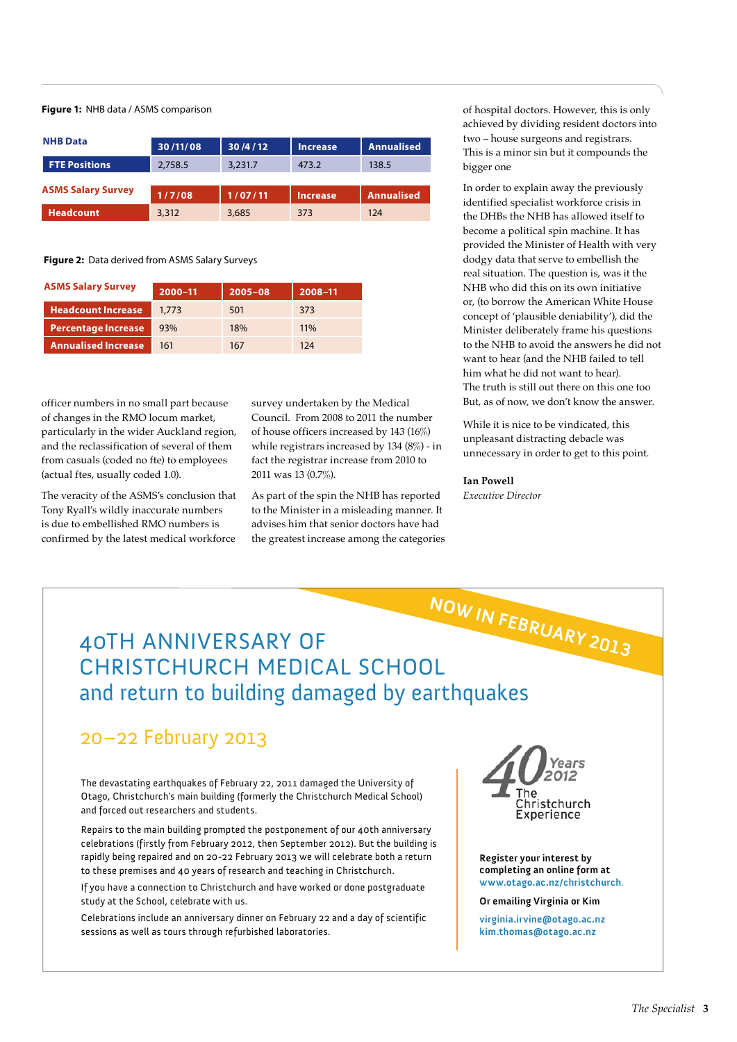#### **Figure 1:** NHB data / ASMS comparison

| <b>NHB Data</b>           | 30/11/08 | 30/4/12 | <b>Increase</b> | <b>Annualised</b> |
|---------------------------|----------|---------|-----------------|-------------------|
| <b>FTE Positions</b>      | 2,758.5  | 3,231.7 | 473.2           | 138.5             |
| <b>ASMS Salary Survey</b> | 1/7/08   | 1/07/11 | <b>Increase</b> | <b>Annualised</b> |
| <b>Headcount</b>          | 3,312    | 3,685   | 373             | 124               |

**Figure 2:** Data derived from ASMS Salary Surveys

| <b>ASMS Salary Survey</b>  | 2000-11 | $2005 - 08$ | 2008-11 |
|----------------------------|---------|-------------|---------|
| <b>Headcount Increase</b>  | 1,773   | 501         | 373     |
| <b>Percentage Increase</b> | 93%     | 18%         | 11%     |
| <b>Annualised Increase</b> | 161     | 167         | 124     |

officer numbers in no small part because of changes in the RMO locum market, particularly in the wider Auckland region, and the reclassification of several of them from casuals (coded no fte) to employees (actual ftes, usually coded 1.0).

The veracity of the ASMS's conclusion that Tony Ryall's wildly inaccurate numbers is due to embellished RMO numbers is confirmed by the latest medical workforce

survey undertaken by the Medical Council. From 2008 to 2011 the number of house officers increased by 143 (16%) while registrars increased by 134 (8%) - in fact the registrar increase from 2010 to 2011 was 13 (0.7%).

As part of the spin the NHB has reported to the Minister in a misleading manner. It advises him that senior doctors have had the greatest increase among the categories

of hospital doctors. However, this is only achieved by dividing resident doctors into two – house surgeons and registrars. This is a minor sin but it compounds the bigger one

In order to explain away the previously identified specialist workforce crisis in the DHBs the NHB has allowed itself to become a political spin machine. It has provided the Minister of Health with very dodgy data that serve to embellish the real situation. The question is, was it the NHB who did this on its own initiative or, (to borrow the American White House concept of 'plausible deniability'), did the Minister deliberately frame his questions to the NHB to avoid the answers he did not want to hear (and the NHB failed to tell him what he did not want to hear). The truth is still out there on this one too But, as of now, we don't know the answer.

While it is nice to be vindicated, this unpleasant distracting debacle was unnecessary in order to get to this point.

#### **Ian Powell**

*Executive Director*

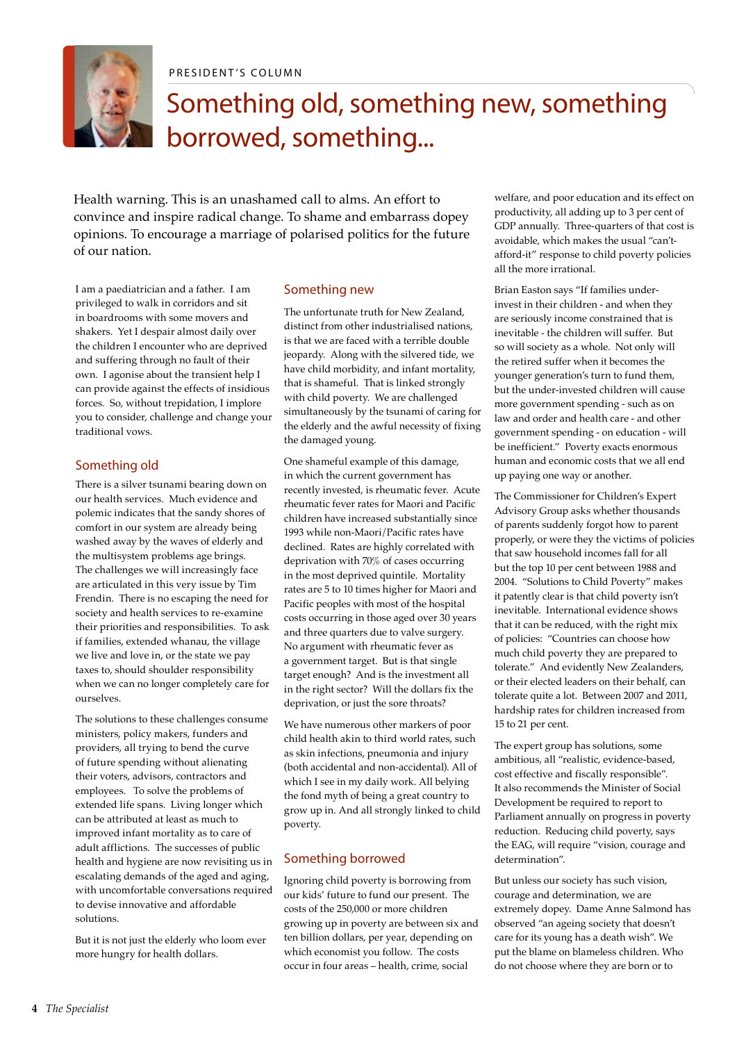

PRESIDENT'S COLUMN

# Something old, something new, something borrowed, something...

Health warning. This is an unashamed call to alms. An effort to convince and inspire radical change. To shame and embarrass dopey opinions. To encourage a marriage of polarised politics for the future of our nation.

I am a paediatrician and a father. I am privileged to walk in corridors and sit in boardrooms with some movers and shakers. Yet I despair almost daily over the children I encounter who are deprived and suffering through no fault of their own. I agonise about the transient help I can provide against the effects of insidious forces. So, without trepidation, I implore you to consider, challenge and change your traditional vows.

# Something old

There is a silver tsunami bearing down on our health services. Much evidence and polemic indicates that the sandy shores of comfort in our system are already being washed away by the waves of elderly and the multisystem problems age brings. The challenges we will increasingly face are articulated in this very issue by Tim Frendin. There is no escaping the need for society and health services to re-examine their priorities and responsibilities. To ask if families, extended whanau, the village we live and love in, or the state we pay taxes to, should shoulder responsibility when we can no longer completely care for ourselves.

The solutions to these challenges consume ministers, policy makers, funders and providers, all trying to bend the curve of future spending without alienating their voters, advisors, contractors and employees. To solve the problems of extended life spans. Living longer which can be attributed at least as much to improved infant mortality as to care of adult afflictions. The successes of public health and hygiene are now revisiting us in escalating demands of the aged and aging, with uncomfortable conversations required to devise innovative and affordable solutions.

But it is not just the elderly who loom ever more hungry for health dollars.

# Something new

The unfortunate truth for New Zealand, distinct from other industrialised nations, is that we are faced with a terrible double jeopardy. Along with the silvered tide, we have child morbidity, and infant mortality, that is shameful. That is linked strongly with child poverty. We are challenged simultaneously by the tsunami of caring for the elderly and the awful necessity of fixing the damaged young.

One shameful example of this damage, in which the current government has recently invested, is rheumatic fever. Acute rheumatic fever rates for Maori and Pacific children have increased substantially since 1993 while non-Maori/Pacific rates have declined. Rates are highly correlated with deprivation with 70% of cases occurring in the most deprived quintile. Mortality rates are 5 to 10 times higher for Maori and Pacific peoples with most of the hospital costs occurring in those aged over 30 years and three quarters due to valve surgery. No argument with rheumatic fever as a government target. But is that single target enough? And is the investment all in the right sector? Will the dollars fix the deprivation, or just the sore throats?

We have numerous other markers of poor child health akin to third world rates, such as skin infections, pneumonia and injury (both accidental and non-accidental). All of which I see in my daily work. All belying the fond myth of being a great country to grow up in. And all strongly linked to child poverty.

# Something borrowed

Ignoring child poverty is borrowing from our kids' future to fund our present. The costs of the 250,000 or more children growing up in poverty are between six and ten billion dollars, per year, depending on which economist you follow. The costs occur in four areas – health, crime, social

welfare, and poor education and its effect on productivity, all adding up to 3 per cent of GDP annually. Three-quarters of that cost is avoidable, which makes the usual "can'tafford-it" response to child poverty policies all the more irrational.

Brian Easton says "If families underinvest in their children - and when they are seriously income constrained that is inevitable - the children will suffer. But so will society as a whole. Not only will the retired suffer when it becomes the younger generation's turn to fund them, but the under-invested children will cause more government spending - such as on law and order and health care - and other government spending - on education - will be inefficient." Poverty exacts enormous human and economic costs that we all end up paying one way or another.

The Commissioner for Children's Expert Advisory Group asks whether thousands of parents suddenly forgot how to parent properly, or were they the victims of policies that saw household incomes fall for all but the top 10 per cent between 1988 and 2004. "Solutions to Child Poverty" makes it patently clear is that child poverty isn't inevitable. International evidence shows that it can be reduced, with the right mix of policies: "Countries can choose how much child poverty they are prepared to tolerate." And evidently New Zealanders, or their elected leaders on their behalf, can tolerate quite a lot. Between 2007 and 2011, hardship rates for children increased from 15 to 21 per cent.

The expert group has solutions, some ambitious, all "realistic, evidence-based, cost effective and fiscally responsible". It also recommends the Minister of Social Development be required to report to Parliament annually on progress in poverty reduction. Reducing child poverty, says the EAG, will require "vision, courage and determination".

But unless our society has such vision, courage and determination, we are extremely dopey. Dame Anne Salmond has observed "an ageing society that doesn't care for its young has a death wish". We put the blame on blameless children. Who do not choose where they are born or to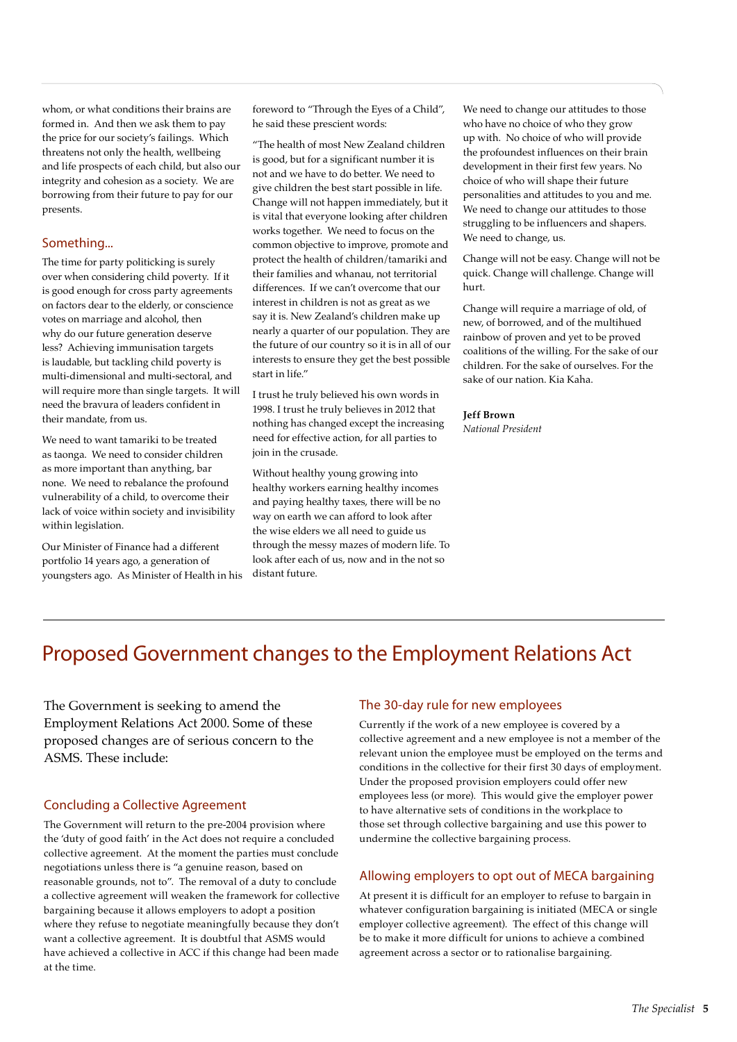whom, or what conditions their brains are formed in. And then we ask them to pay the price for our society's failings. Which threatens not only the health, wellbeing and life prospects of each child, but also our integrity and cohesion as a society. We are borrowing from their future to pay for our presents.

## Something...

The time for party politicking is surely over when considering child poverty. If it is good enough for cross party agreements on factors dear to the elderly, or conscience votes on marriage and alcohol, then why do our future generation deserve less? Achieving immunisation targets is laudable, but tackling child poverty is multi-dimensional and multi-sectoral, and will require more than single targets. It will need the bravura of leaders confident in their mandate, from us.

We need to want tamariki to be treated as taonga. We need to consider children as more important than anything, bar none. We need to rebalance the profound vulnerability of a child, to overcome their lack of voice within society and invisibility within legislation.

Our Minister of Finance had a different portfolio 14 years ago, a generation of youngsters ago. As Minister of Health in his

foreword to "Through the Eyes of a Child", he said these prescient words:

"The health of most New Zealand children is good, but for a significant number it is not and we have to do better. We need to give children the best start possible in life. Change will not happen immediately, but it is vital that everyone looking after children works together. We need to focus on the common objective to improve, promote and protect the health of children/tamariki and their families and whanau, not territorial differences. If we can't overcome that our interest in children is not as great as we say it is. New Zealand's children make up nearly a quarter of our population. They are the future of our country so it is in all of our interests to ensure they get the best possible start in life."

I trust he truly believed his own words in 1998. I trust he truly believes in 2012 that nothing has changed except the increasing need for effective action, for all parties to join in the crusade.

Without healthy young growing into healthy workers earning healthy incomes and paying healthy taxes, there will be no way on earth we can afford to look after the wise elders we all need to guide us through the messy mazes of modern life. To look after each of us, now and in the not so distant future.

We need to change our attitudes to those who have no choice of who they grow up with. No choice of who will provide the profoundest influences on their brain development in their first few years. No choice of who will shape their future personalities and attitudes to you and me. We need to change our attitudes to those struggling to be influencers and shapers. We need to change, us.

Change will not be easy. Change will not be quick. Change will challenge. Change will hurt.

Change will require a marriage of old, of new, of borrowed, and of the multihued rainbow of proven and yet to be proved coalitions of the willing. For the sake of our children. For the sake of ourselves. For the sake of our nation. Kia Kaha.

#### **Jeff Brown**

*National President*

# Proposed Government changes to the Employment Relations Act

The Government is seeking to amend the Employment Relations Act 2000. Some of these proposed changes are of serious concern to the ASMS. These include:

## Concluding a Collective Agreement

The Government will return to the pre-2004 provision where the 'duty of good faith' in the Act does not require a concluded collective agreement. At the moment the parties must conclude negotiations unless there is "a genuine reason, based on reasonable grounds, not to". The removal of a duty to conclude a collective agreement will weaken the framework for collective bargaining because it allows employers to adopt a position where they refuse to negotiate meaningfully because they don't want a collective agreement. It is doubtful that ASMS would have achieved a collective in ACC if this change had been made at the time.

#### The 30-day rule for new employees

Currently if the work of a new employee is covered by a collective agreement and a new employee is not a member of the relevant union the employee must be employed on the terms and conditions in the collective for their first 30 days of employment. Under the proposed provision employers could offer new employees less (or more). This would give the employer power to have alternative sets of conditions in the workplace to those set through collective bargaining and use this power to undermine the collective bargaining process.

## Allowing employers to opt out of MECA bargaining

At present it is difficult for an employer to refuse to bargain in whatever configuration bargaining is initiated (MECA or single employer collective agreement). The effect of this change will be to make it more difficult for unions to achieve a combined agreement across a sector or to rationalise bargaining.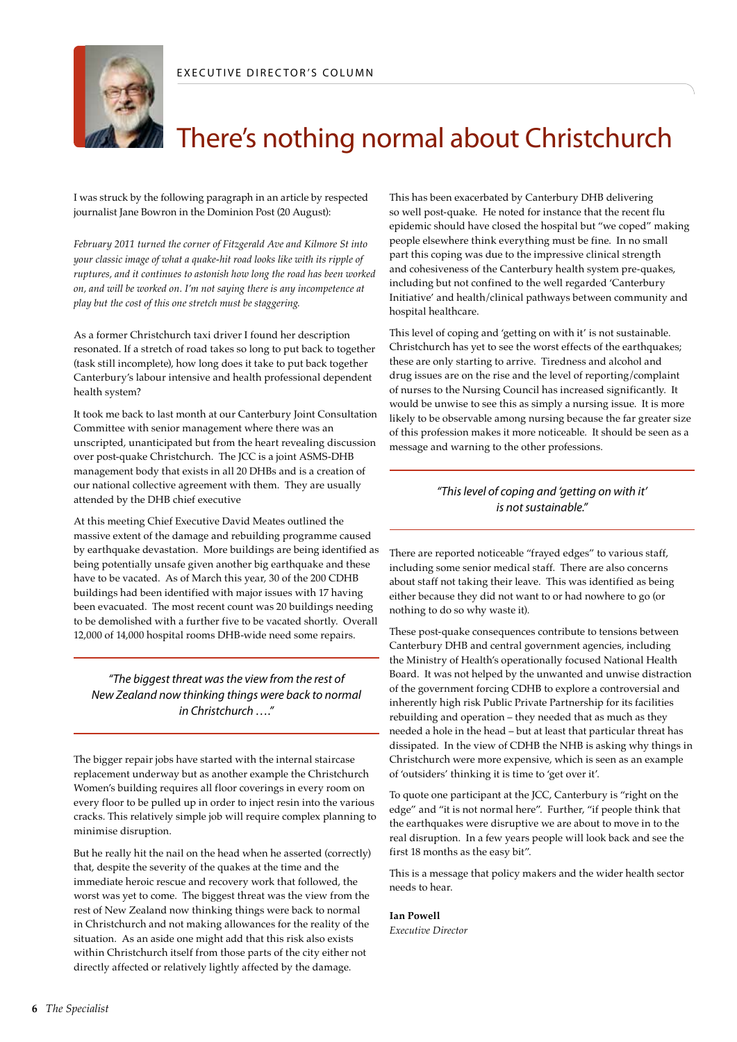

# There's nothing normal about Christchurch

I was struck by the following paragraph in an article by respected journalist Jane Bowron in the Dominion Post (20 August):

*February 2011 turned the corner of Fitzgerald Ave and Kilmore St into your classic image of what a quake-hit road looks like with its ripple of ruptures, and it continues to astonish how long the road has been worked on, and will be worked on. I'm not saying there is any incompetence at play but the cost of this one stretch must be staggering.* 

As a former Christchurch taxi driver I found her description resonated. If a stretch of road takes so long to put back to together (task still incomplete), how long does it take to put back together Canterbury's labour intensive and health professional dependent health system?

It took me back to last month at our Canterbury Joint Consultation Committee with senior management where there was an unscripted, unanticipated but from the heart revealing discussion over post-quake Christchurch. The JCC is a joint ASMS-DHB management body that exists in all 20 DHBs and is a creation of our national collective agreement with them. They are usually attended by the DHB chief executive

At this meeting Chief Executive David Meates outlined the massive extent of the damage and rebuilding programme caused by earthquake devastation. More buildings are being identified as being potentially unsafe given another big earthquake and these have to be vacated. As of March this year, 30 of the 200 CDHB buildings had been identified with major issues with 17 having been evacuated. The most recent count was 20 buildings needing to be demolished with a further five to be vacated shortly. Overall 12,000 of 14,000 hospital rooms DHB-wide need some repairs.

*"The biggest threat was the view from the rest of New Zealand now thinking things were back to normal in Christchurch …."*

The bigger repair jobs have started with the internal staircase replacement underway but as another example the Christchurch Women's building requires all floor coverings in every room on every floor to be pulled up in order to inject resin into the various cracks. This relatively simple job will require complex planning to minimise disruption.

But he really hit the nail on the head when he asserted (correctly) that, despite the severity of the quakes at the time and the immediate heroic rescue and recovery work that followed, the worst was yet to come. The biggest threat was the view from the rest of New Zealand now thinking things were back to normal in Christchurch and not making allowances for the reality of the situation. As an aside one might add that this risk also exists within Christchurch itself from those parts of the city either not directly affected or relatively lightly affected by the damage.

This has been exacerbated by Canterbury DHB delivering so well post-quake. He noted for instance that the recent flu epidemic should have closed the hospital but "we coped" making people elsewhere think everything must be fine. In no small part this coping was due to the impressive clinical strength and cohesiveness of the Canterbury health system pre-quakes, including but not confined to the well regarded 'Canterbury Initiative' and health/clinical pathways between community and hospital healthcare.

This level of coping and 'getting on with it' is not sustainable. Christchurch has yet to see the worst effects of the earthquakes; these are only starting to arrive. Tiredness and alcohol and drug issues are on the rise and the level of reporting/complaint of nurses to the Nursing Council has increased significantly. It would be unwise to see this as simply a nursing issue. It is more likely to be observable among nursing because the far greater size of this profession makes it more noticeable. It should be seen as a message and warning to the other professions.

## *"This level of coping and 'getting on with it' is not sustainable."*

There are reported noticeable "frayed edges" to various staff, including some senior medical staff. There are also concerns about staff not taking their leave. This was identified as being either because they did not want to or had nowhere to go (or nothing to do so why waste it).

These post-quake consequences contribute to tensions between Canterbury DHB and central government agencies, including the Ministry of Health's operationally focused National Health Board. It was not helped by the unwanted and unwise distraction of the government forcing CDHB to explore a controversial and inherently high risk Public Private Partnership for its facilities rebuilding and operation – they needed that as much as they needed a hole in the head – but at least that particular threat has dissipated. In the view of CDHB the NHB is asking why things in Christchurch were more expensive, which is seen as an example of 'outsiders' thinking it is time to 'get over it'.

To quote one participant at the JCC, Canterbury is "right on the edge" and "it is not normal here". Further, "if people think that the earthquakes were disruptive we are about to move in to the real disruption. In a few years people will look back and see the first 18 months as the easy bit".

This is a message that policy makers and the wider health sector needs to hear.

## **Ian Powell**

*Executive Director*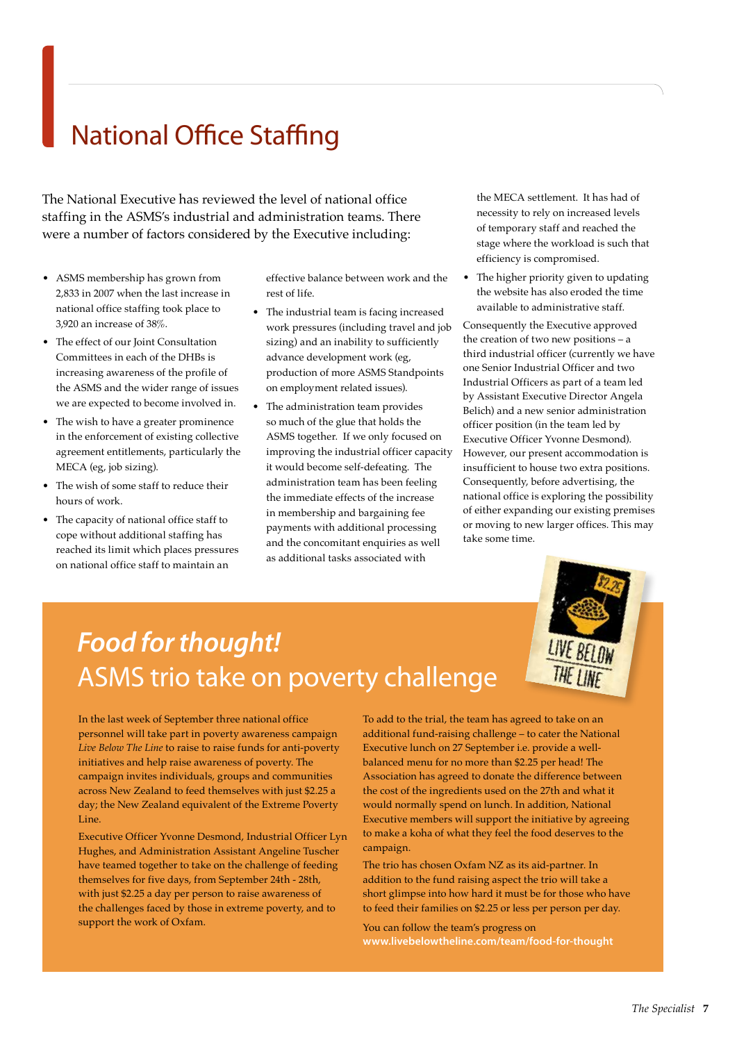# National Office Staffing

The National Executive has reviewed the level of national office staffing in the ASMS's industrial and administration teams. There were a number of factors considered by the Executive including:

- • ASMS membership has grown from 2,833 in 2007 when the last increase in national office staffing took place to 3,920 an increase of 38%.
- The effect of our Joint Consultation Committees in each of the DHBs is increasing awareness of the profile of the ASMS and the wider range of issues we are expected to become involved in.
- • The wish to have a greater prominence in the enforcement of existing collective agreement entitlements, particularly the MECA (eg, job sizing).
- The wish of some staff to reduce their hours of work.
- The capacity of national office staff to cope without additional staffing has reached its limit which places pressures on national office staff to maintain an

effective balance between work and the rest of life.

- • The industrial team is facing increased work pressures (including travel and job sizing) and an inability to sufficiently advance development work (eg, production of more ASMS Standpoints on employment related issues).
- The administration team provides so much of the glue that holds the ASMS together. If we only focused on improving the industrial officer capacity it would become self-defeating. The administration team has been feeling the immediate effects of the increase in membership and bargaining fee payments with additional processing and the concomitant enquiries as well as additional tasks associated with

the MECA settlement. It has had of necessity to rely on increased levels of temporary staff and reached the stage where the workload is such that efficiency is compromised.

The higher priority given to updating the website has also eroded the time available to administrative staff.

Consequently the Executive approved the creation of two new positions – a third industrial officer (currently we have one Senior Industrial Officer and two Industrial Officers as part of a team led by Assistant Executive Director Angela Belich) and a new senior administration officer position (in the team led by Executive Officer Yvonne Desmond). However, our present accommodation is insufficient to house two extra positions. Consequently, before advertising, the national office is exploring the possibility of either expanding our existing premises or moving to new larger offices. This may take some time.



# *Food for thought!*  ASMS trio take on poverty challenge

In the last week of September three national office personnel will take part in poverty awareness campaign *Live Below The Line* to raise to raise funds for anti-poverty initiatives and help raise awareness of poverty. The campaign invites individuals, groups and communities across New Zealand to feed themselves with just \$2.25 a day; the New Zealand equivalent of the Extreme Poverty Line.

Executive Officer Yvonne Desmond, Industrial Officer Lyn Hughes, and Administration Assistant Angeline Tuscher have teamed together to take on the challenge of feeding themselves for five days, from September 24th - 28th, with just \$2.25 a day per person to raise awareness of the challenges faced by those in extreme poverty, and to support the work of Oxfam.

To add to the trial, the team has agreed to take on an additional fund-raising challenge – to cater the National Executive lunch on 27 September i.e. provide a wellbalanced menu for no more than \$2.25 per head! The Association has agreed to donate the difference between the cost of the ingredients used on the 27th and what it would normally spend on lunch. In addition, National Executive members will support the initiative by agreeing to make a koha of what they feel the food deserves to the campaign.

The trio has chosen Oxfam NZ as its aid-partner. In addition to the fund raising aspect the trio will take a short glimpse into how hard it must be for those who have to feed their families on \$2.25 or less per person per day.

You can follow the team's progress on **www.livebelowtheline.com/team/food-for-thought**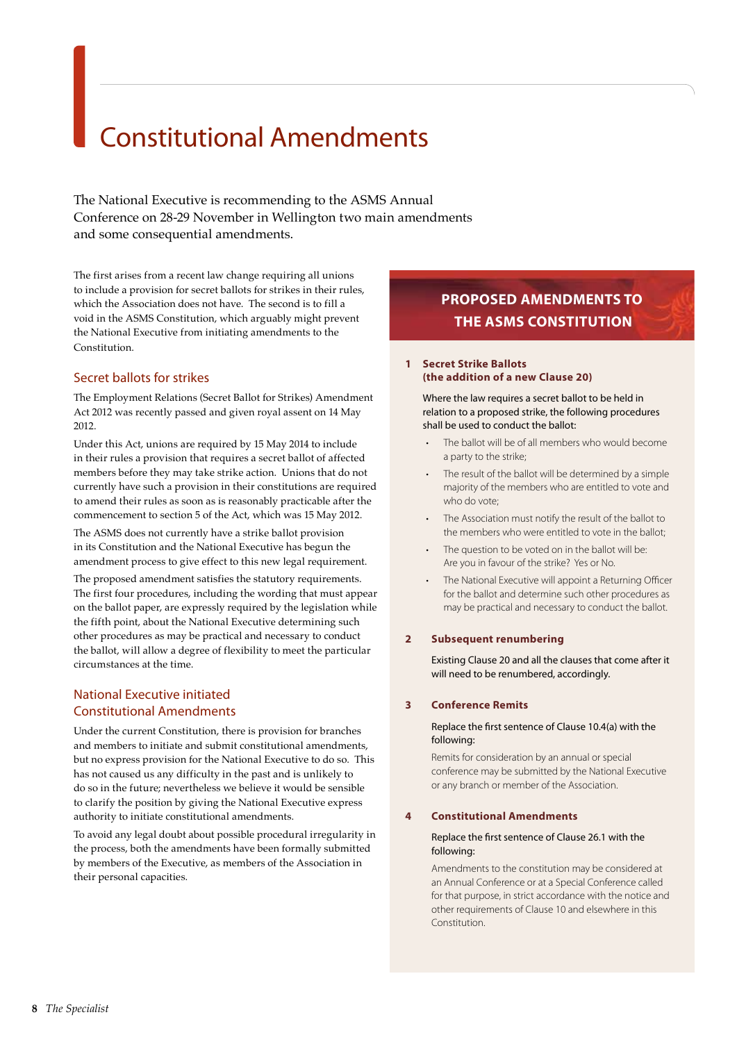# Constitutional Amendments

The National Executive is recommending to the ASMS Annual Conference on 28-29 November in Wellington two main amendments and some consequential amendments.

The first arises from a recent law change requiring all unions to include a provision for secret ballots for strikes in their rules, which the Association does not have. The second is to fill a void in the ASMS Constitution, which arguably might prevent the National Executive from initiating amendments to the Constitution.

# Secret ballots for strikes

The Employment Relations (Secret Ballot for Strikes) Amendment Act 2012 was recently passed and given royal assent on 14 May 2012.

Under this Act, unions are required by 15 May 2014 to include in their rules a provision that requires a secret ballot of affected members before they may take strike action. Unions that do not currently have such a provision in their constitutions are required to amend their rules as soon as is reasonably practicable after the commencement to section 5 of the Act, which was 15 May 2012.

The ASMS does not currently have a strike ballot provision in its Constitution and the National Executive has begun the amendment process to give effect to this new legal requirement.

The proposed amendment satisfies the statutory requirements. The first four procedures, including the wording that must appear on the ballot paper, are expressly required by the legislation while the fifth point, about the National Executive determining such other procedures as may be practical and necessary to conduct the ballot, will allow a degree of flexibility to meet the particular circumstances at the time.

## National Executive initiated Constitutional Amendments

Under the current Constitution, there is provision for branches and members to initiate and submit constitutional amendments, but no express provision for the National Executive to do so. This has not caused us any difficulty in the past and is unlikely to do so in the future; nevertheless we believe it would be sensible to clarify the position by giving the National Executive express authority to initiate constitutional amendments.

To avoid any legal doubt about possible procedural irregularity in the process, both the amendments have been formally submitted by members of the Executive, as members of the Association in their personal capacities.

# **PROPOSED AMENDMENTS TO THE ASMS CONSTITUTION**

#### **1 Secret Strike Ballots (the addition of a new Clause 20)**

Where the law requires a secret ballot to be held in relation to a proposed strike, the following procedures shall be used to conduct the ballot:

- The ballot will be of all members who would become a party to the strike;
- The result of the ballot will be determined by a simple majority of the members who are entitled to vote and who do vote;
- The Association must notify the result of the ballot to the members who were entitled to vote in the ballot;
- The question to be voted on in the ballot will be: Are you in favour of the strike? Yes or No.
- The National Executive will appoint a Returning Officer for the ballot and determine such other procedures as may be practical and necessary to conduct the ballot.

## **2 Subsequent renumbering**

Existing Clause 20 and all the clauses that come after it will need to be renumbered, accordingly.

## **3 Conference Remits**

#### Replace the first sentence of Clause 10.4(a) with the following:

Remits for consideration by an annual or special conference may be submitted by the National Executive or any branch or member of the Association.

#### **4 Constitutional Amendments**

#### Replace the first sentence of Clause 26.1 with the following:

Amendments to the constitution may be considered at an Annual Conference or at a Special Conference called for that purpose, in strict accordance with the notice and other requirements of Clause 10 and elsewhere in this Constitution.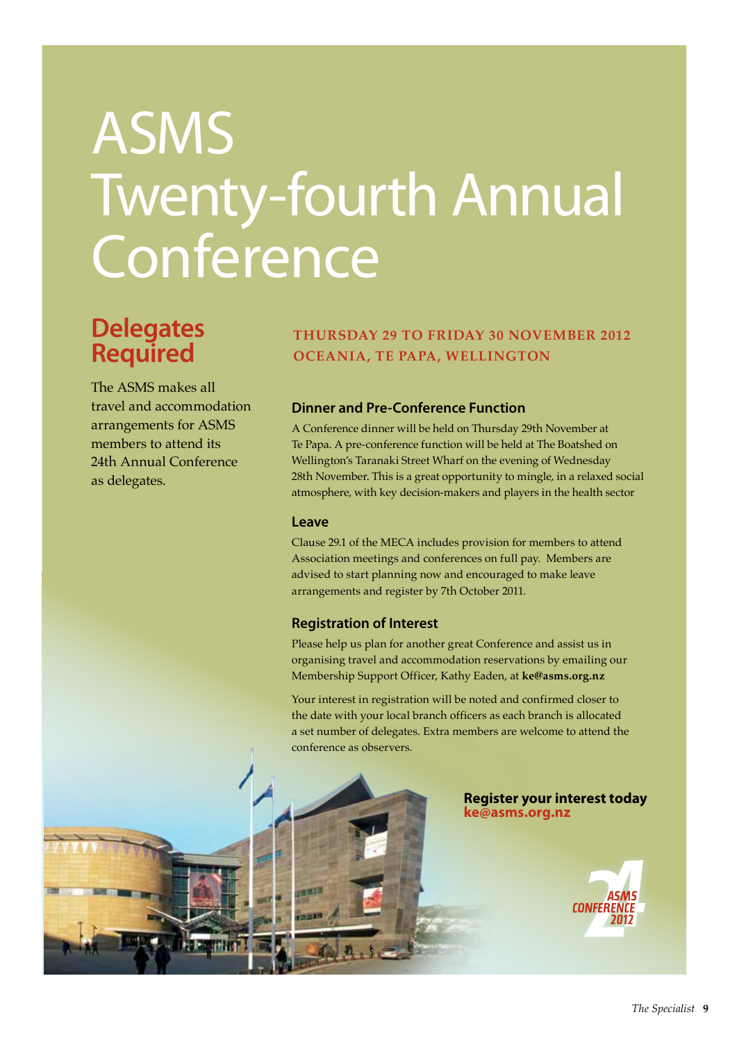# ASMS Twenty-fourth Annual Conference

# **Delegates Required**

The ASMS makes all travel and accommodation arrangements for ASMS members to attend its 24th Annual Conference as delegates.

# **THURSDAY 29 TO FRIDAY 30 NOVEMBER 2012 OCEANIA, TE PAPA, WELLINGTON**

# **Dinner and Pre-Conference Function**

A Conference dinner will be held on Thursday 29th November at Te Papa. A pre-conference function will be held at The Boatshed on Wellington's Taranaki Street Wharf on the evening of Wednesday 28th November. This is a great opportunity to mingle, in a relaxed social atmosphere, with key decision-makers and players in the health sector

## **Leave**

Clause 29.1 of the MECA includes provision for members to attend Association meetings and conferences on full pay. Members are advised to start planning now and encouraged to make leave arrangements and register by 7th October 2011.

## **Registration of Interest**

Please help us plan for another great Conference and assist us in organising travel and accommodation reservations by emailing our Membership Support Officer, Kathy Eaden, at **ke@asms.org.nz**

Your interest in registration will be noted and confirmed closer to the date with your local branch officers as each branch is allocated a set number of delegates. Extra members are welcome to attend the conference as observers.



## **Register your interest today ke@asms.org.nz**

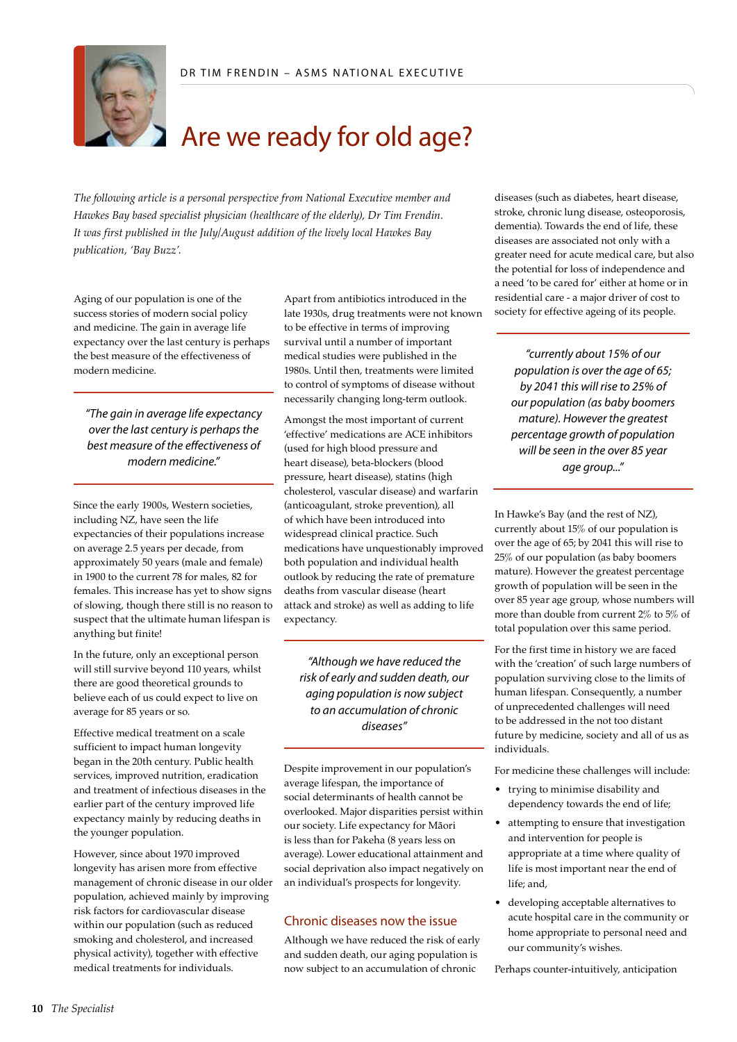

# Are we ready for old age?

*The following article is a personal perspective from National Executive member and Hawkes Bay based specialist physician (healthcare of the elderly), Dr Tim Frendin. It was first published in the July/August addition of the lively local Hawkes Bay publication, 'Bay Buzz'.*

Aging of our population is one of the success stories of modern social policy and medicine. The gain in average life expectancy over the last century is perhaps the best measure of the effectiveness of modern medicine.

*"The gain in average life expectancy over the last century is perhaps the best measure of the effectiveness of modern medicine."*

Since the early 1900s, Western societies, including NZ, have seen the life expectancies of their populations increase on average 2.5 years per decade, from approximately 50 years (male and female) in 1900 to the current 78 for males, 82 for females. This increase has yet to show signs of slowing, though there still is no reason to suspect that the ultimate human lifespan is anything but finite!

In the future, only an exceptional person will still survive beyond 110 years, whilst there are good theoretical grounds to believe each of us could expect to live on average for 85 years or so.

Effective medical treatment on a scale sufficient to impact human longevity began in the 20th century. Public health services, improved nutrition, eradication and treatment of infectious diseases in the earlier part of the century improved life expectancy mainly by reducing deaths in the younger population.

However, since about 1970 improved longevity has arisen more from effective management of chronic disease in our older population, achieved mainly by improving risk factors for cardiovascular disease within our population (such as reduced smoking and cholesterol, and increased physical activity), together with effective medical treatments for individuals.

Apart from antibiotics introduced in the late 1930s, drug treatments were not known to be effective in terms of improving survival until a number of important medical studies were published in the 1980s. Until then, treatments were limited to control of symptoms of disease without necessarily changing long-term outlook.

Amongst the most important of current 'effective' medications are ACE inhibitors (used for high blood pressure and heart disease), beta-blockers (blood pressure, heart disease), statins (high cholesterol, vascular disease) and warfarin (anticoagulant, stroke prevention), all of which have been introduced into widespread clinical practice. Such medications have unquestionably improved both population and individual health outlook by reducing the rate of premature deaths from vascular disease (heart attack and stroke) as well as adding to life expectancy.

*"Although we have reduced the risk of early and sudden death, our aging population is now subject to an accumulation of chronic diseases"*

Despite improvement in our population's average lifespan, the importance of social determinants of health cannot be overlooked. Major disparities persist within our society. Life expectancy for Mãori is less than for Pakeha (8 years less on average). Lower educational attainment and social deprivation also impact negatively on an individual's prospects for longevity.

## Chronic diseases now the issue

Although we have reduced the risk of early and sudden death, our aging population is now subject to an accumulation of chronic

diseases (such as diabetes, heart disease, stroke, chronic lung disease, osteoporosis, dementia). Towards the end of life, these diseases are associated not only with a greater need for acute medical care, but also the potential for loss of independence and a need 'to be cared for' either at home or in residential care - a major driver of cost to society for effective ageing of its people.

*"currently about 15% of our population is over the age of 65; by 2041 this will rise to 25% of our population (as baby boomers mature). However the greatest percentage growth of population will be seen in the over 85 year age group..."*

In Hawke's Bay (and the rest of NZ), currently about 15% of our population is over the age of 65; by 2041 this will rise to 25% of our population (as baby boomers mature). However the greatest percentage growth of population will be seen in the over 85 year age group, whose numbers will more than double from current 2% to 5% of total population over this same period.

For the first time in history we are faced with the 'creation' of such large numbers of population surviving close to the limits of human lifespan. Consequently, a number of unprecedented challenges will need to be addressed in the not too distant future by medicine, society and all of us as individuals.

For medicine these challenges will include:

- • trying to minimise disability and dependency towards the end of life;
- attempting to ensure that investigation and intervention for people is appropriate at a time where quality of life is most important near the end of life; and,
- • developing acceptable alternatives to acute hospital care in the community or home appropriate to personal need and our community's wishes.

Perhaps counter-intuitively, anticipation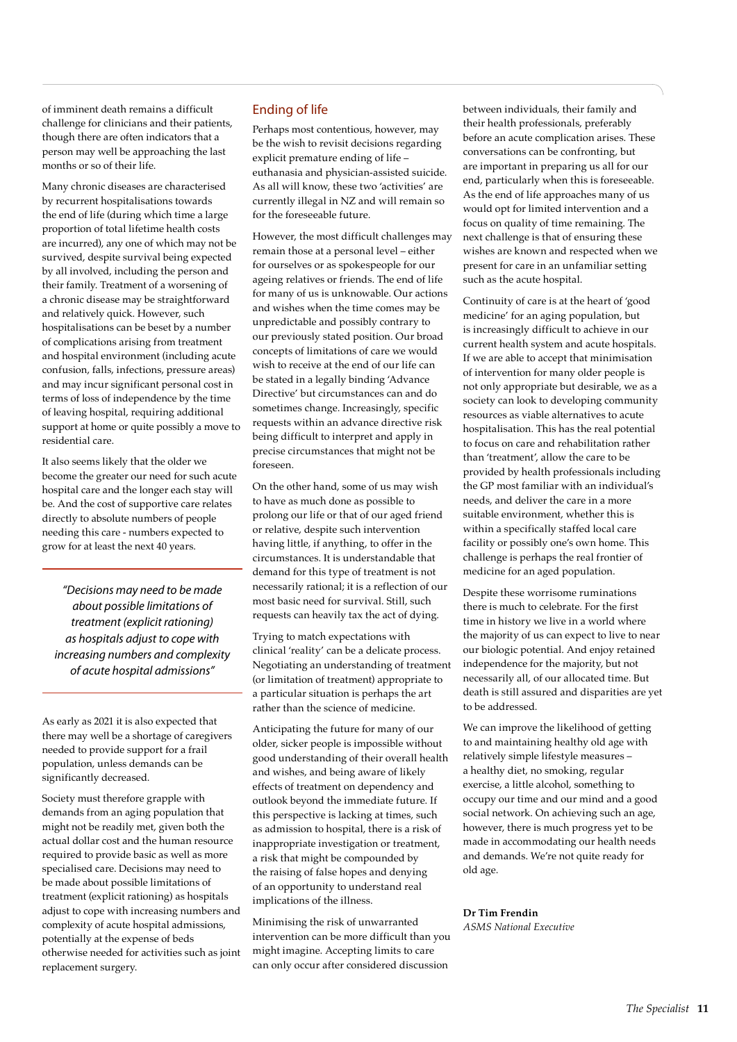of imminent death remains a difficult challenge for clinicians and their patients, though there are often indicators that a person may well be approaching the last months or so of their life.

Many chronic diseases are characterised by recurrent hospitalisations towards the end of life (during which time a large proportion of total lifetime health costs are incurred), any one of which may not be survived, despite survival being expected by all involved, including the person and their family. Treatment of a worsening of a chronic disease may be straightforward and relatively quick. However, such hospitalisations can be beset by a number of complications arising from treatment and hospital environment (including acute confusion, falls, infections, pressure areas) and may incur significant personal cost in terms of loss of independence by the time of leaving hospital, requiring additional support at home or quite possibly a move to residential care.

It also seems likely that the older we become the greater our need for such acute hospital care and the longer each stay will be. And the cost of supportive care relates directly to absolute numbers of people needing this care - numbers expected to grow for at least the next 40 years.

*"Decisions may need to be made about possible limitations of treatment (explicit rationing) as hospitals adjust to cope with increasing numbers and complexity of acute hospital admissions"*

As early as 2021 it is also expected that there may well be a shortage of caregivers needed to provide support for a frail population, unless demands can be significantly decreased.

Society must therefore grapple with demands from an aging population that might not be readily met, given both the actual dollar cost and the human resource required to provide basic as well as more specialised care. Decisions may need to be made about possible limitations of treatment (explicit rationing) as hospitals adjust to cope with increasing numbers and complexity of acute hospital admissions, potentially at the expense of beds otherwise needed for activities such as joint replacement surgery.

## Ending of life

Perhaps most contentious, however, may be the wish to revisit decisions regarding explicit premature ending of life – euthanasia and physician-assisted suicide. As all will know, these two 'activities' are currently illegal in NZ and will remain so for the foreseeable future.

However, the most difficult challenges may remain those at a personal level – either for ourselves or as spokespeople for our ageing relatives or friends. The end of life for many of us is unknowable. Our actions and wishes when the time comes may be unpredictable and possibly contrary to our previously stated position. Our broad concepts of limitations of care we would wish to receive at the end of our life can be stated in a legally binding 'Advance Directive' but circumstances can and do sometimes change. Increasingly, specific requests within an advance directive risk being difficult to interpret and apply in precise circumstances that might not be foreseen.

On the other hand, some of us may wish to have as much done as possible to prolong our life or that of our aged friend or relative, despite such intervention having little, if anything, to offer in the circumstances. It is understandable that demand for this type of treatment is not necessarily rational; it is a reflection of our most basic need for survival. Still, such requests can heavily tax the act of dying.

Trying to match expectations with clinical 'reality' can be a delicate process. Negotiating an understanding of treatment (or limitation of treatment) appropriate to a particular situation is perhaps the art rather than the science of medicine.

Anticipating the future for many of our older, sicker people is impossible without good understanding of their overall health and wishes, and being aware of likely effects of treatment on dependency and outlook beyond the immediate future. If this perspective is lacking at times, such as admission to hospital, there is a risk of inappropriate investigation or treatment, a risk that might be compounded by the raising of false hopes and denying of an opportunity to understand real implications of the illness.

Minimising the risk of unwarranted intervention can be more difficult than you might imagine. Accepting limits to care can only occur after considered discussion

between individuals, their family and their health professionals, preferably before an acute complication arises. These conversations can be confronting, but are important in preparing us all for our end, particularly when this is foreseeable. As the end of life approaches many of us would opt for limited intervention and a focus on quality of time remaining. The next challenge is that of ensuring these wishes are known and respected when we present for care in an unfamiliar setting such as the acute hospital.

Continuity of care is at the heart of 'good medicine' for an aging population, but is increasingly difficult to achieve in our current health system and acute hospitals. If we are able to accept that minimisation of intervention for many older people is not only appropriate but desirable, we as a society can look to developing community resources as viable alternatives to acute hospitalisation. This has the real potential to focus on care and rehabilitation rather than 'treatment', allow the care to be provided by health professionals including the GP most familiar with an individual's needs, and deliver the care in a more suitable environment, whether this is within a specifically staffed local care facility or possibly one's own home. This challenge is perhaps the real frontier of medicine for an aged population.

Despite these worrisome ruminations there is much to celebrate. For the first time in history we live in a world where the majority of us can expect to live to near our biologic potential. And enjoy retained independence for the majority, but not necessarily all, of our allocated time. But death is still assured and disparities are yet to be addressed.

We can improve the likelihood of getting to and maintaining healthy old age with relatively simple lifestyle measures – a healthy diet, no smoking, regular exercise, a little alcohol, something to occupy our time and our mind and a good social network. On achieving such an age, however, there is much progress yet to be made in accommodating our health needs and demands. We're not quite ready for old age.

**Dr Tim Frendin** *ASMS National Executive*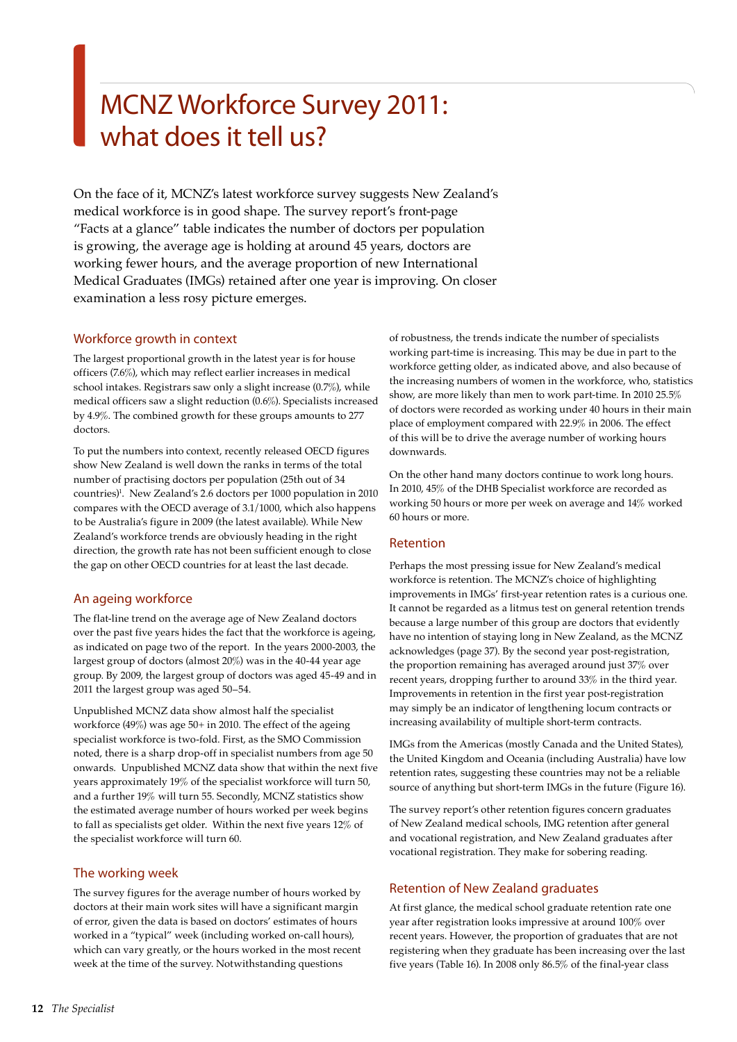# MCNZ Workforce Survey 2011: what does it tell us?

On the face of it, MCNZ's latest workforce survey suggests New Zealand's medical workforce is in good shape. The survey report's front-page "Facts at a glance" table indicates the number of doctors per population is growing, the average age is holding at around 45 years, doctors are working fewer hours, and the average proportion of new International Medical Graduates (IMGs) retained after one year is improving. On closer examination a less rosy picture emerges.

## Workforce growth in context

The largest proportional growth in the latest year is for house officers (7.6%), which may reflect earlier increases in medical school intakes. Registrars saw only a slight increase (0.7%), while medical officers saw a slight reduction (0.6%). Specialists increased by 4.9%. The combined growth for these groups amounts to 277 doctors.

To put the numbers into context, recently released OECD figures show New Zealand is well down the ranks in terms of the total number of practising doctors per population (25th out of 34 countries)<sup>1</sup>. New Zealand's 2.6 doctors per 1000 population in 2010 compares with the OECD average of 3.1/1000, which also happens to be Australia's figure in 2009 (the latest available). While New Zealand's workforce trends are obviously heading in the right direction, the growth rate has not been sufficient enough to close the gap on other OECD countries for at least the last decade.

## An ageing workforce

The flat-line trend on the average age of New Zealand doctors over the past five years hides the fact that the workforce is ageing, as indicated on page two of the report. In the years 2000-2003, the largest group of doctors (almost 20%) was in the 40-44 year age group. By 2009, the largest group of doctors was aged 45-49 and in 2011 the largest group was aged 50–54.

Unpublished MCNZ data show almost half the specialist workforce (49%) was age 50+ in 2010. The effect of the ageing specialist workforce is two-fold. First, as the SMO Commission noted, there is a sharp drop-off in specialist numbers from age 50 onwards. Unpublished MCNZ data show that within the next five years approximately 19% of the specialist workforce will turn 50, and a further 19% will turn 55. Secondly, MCNZ statistics show the estimated average number of hours worked per week begins to fall as specialists get older. Within the next five years 12% of the specialist workforce will turn 60.

## The working week

The survey figures for the average number of hours worked by doctors at their main work sites will have a significant margin of error, given the data is based on doctors' estimates of hours worked in a "typical" week (including worked on-call hours), which can vary greatly, or the hours worked in the most recent week at the time of the survey. Notwithstanding questions

of robustness, the trends indicate the number of specialists working part-time is increasing. This may be due in part to the workforce getting older, as indicated above, and also because of the increasing numbers of women in the workforce, who, statistics show, are more likely than men to work part-time. In 2010 25.5% of doctors were recorded as working under 40 hours in their main place of employment compared with 22.9% in 2006. The effect of this will be to drive the average number of working hours downwards.

On the other hand many doctors continue to work long hours. In 2010, 45% of the DHB Specialist workforce are recorded as working 50 hours or more per week on average and 14% worked 60 hours or more.

## Retention

Perhaps the most pressing issue for New Zealand's medical workforce is retention. The MCNZ's choice of highlighting improvements in IMGs' first-year retention rates is a curious one. It cannot be regarded as a litmus test on general retention trends because a large number of this group are doctors that evidently have no intention of staying long in New Zealand, as the MCNZ acknowledges (page 37). By the second year post-registration, the proportion remaining has averaged around just 37% over recent years, dropping further to around 33% in the third year. Improvements in retention in the first year post-registration may simply be an indicator of lengthening locum contracts or increasing availability of multiple short-term contracts.

IMGs from the Americas (mostly Canada and the United States), the United Kingdom and Oceania (including Australia) have low retention rates, suggesting these countries may not be a reliable source of anything but short-term IMGs in the future (Figure 16).

The survey report's other retention figures concern graduates of New Zealand medical schools, IMG retention after general and vocational registration, and New Zealand graduates after vocational registration. They make for sobering reading.

## Retention of New Zealand graduates

At first glance, the medical school graduate retention rate one year after registration looks impressive at around 100% over recent years. However, the proportion of graduates that are not registering when they graduate has been increasing over the last five years (Table 16). In 2008 only 86.5% of the final-year class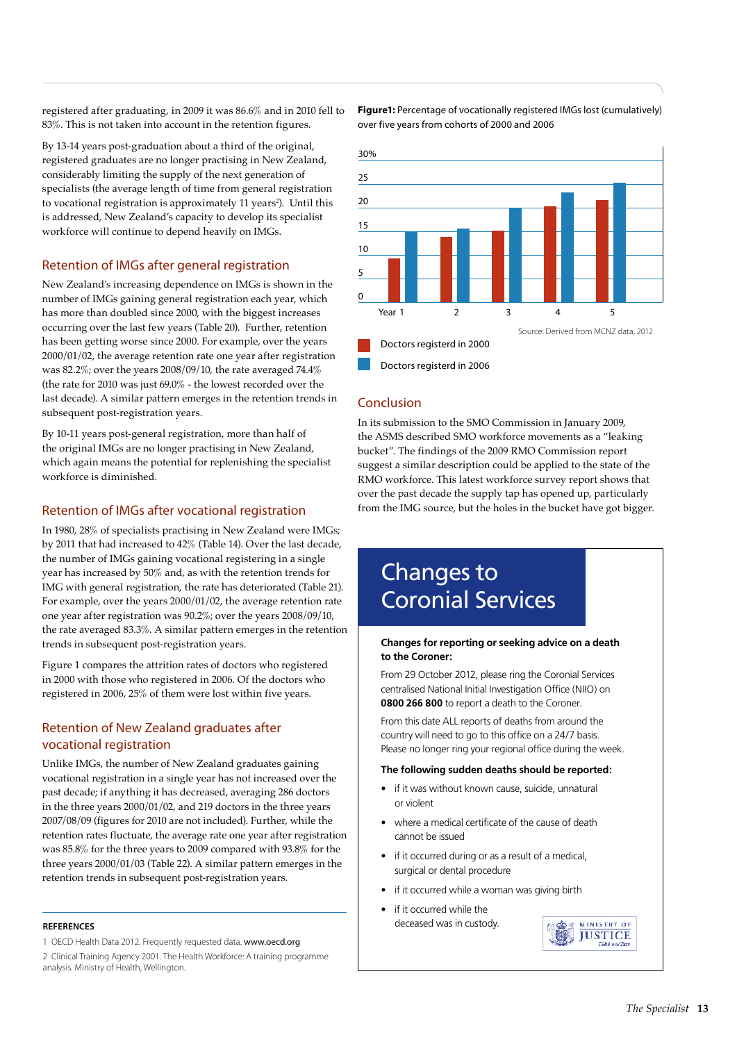registered after graduating, in 2009 it was 86.6% and in 2010 fell to 83%. This is not taken into account in the retention figures.

By 13-14 years post-graduation about a third of the original, registered graduates are no longer practising in New Zealand, considerably limiting the supply of the next generation of specialists (the average length of time from general registration to vocational registration is approximately 11 years<sup>2</sup>). Until this is addressed, New Zealand's capacity to develop its specialist workforce will continue to depend heavily on IMGs.

## Retention of IMGs after general registration

New Zealand's increasing dependence on IMGs is shown in the number of IMGs gaining general registration each year, which has more than doubled since 2000, with the biggest increases occurring over the last few years (Table 20). Further, retention has been getting worse since 2000. For example, over the years 2000/01/02, the average retention rate one year after registration was 82.2%; over the years 2008/09/10, the rate averaged 74.4% (the rate for 2010 was just 69.0% - the lowest recorded over the last decade). A similar pattern emerges in the retention trends in subsequent post-registration years.

By 10-11 years post-general registration, more than half of the original IMGs are no longer practising in New Zealand, which again means the potential for replenishing the specialist workforce is diminished.

## Retention of IMGs after vocational registration

In 1980, 28% of specialists practising in New Zealand were IMGs; by 2011 that had increased to 42% (Table 14). Over the last decade, the number of IMGs gaining vocational registering in a single year has increased by 50% and, as with the retention trends for IMG with general registration, the rate has deteriorated (Table 21). For example, over the years 2000/01/02, the average retention rate one year after registration was 90.2%; over the years 2008/09/10, the rate averaged 83.3%. A similar pattern emerges in the retention trends in subsequent post-registration years.

Figure 1 compares the attrition rates of doctors who registered in 2000 with those who registered in 2006. Of the doctors who registered in 2006, 25% of them were lost within five years.

## Retention of New Zealand graduates after vocational registration

Unlike IMGs, the number of New Zealand graduates gaining vocational registration in a single year has not increased over the past decade; if anything it has decreased, averaging 286 doctors in the three years 2000/01/02, and 219 doctors in the three years 2007/08/09 (figures for 2010 are not included). Further, while the retention rates fluctuate, the average rate one year after registration was 85.8% for the three years to 2009 compared with 93.8% for the three years 2000/01/03 (Table 22). A similar pattern emerges in the retention trends in subsequent post-registration years.

#### **REFERENCES**

1 OECD Health Data 2012. Frequently requested data. www.oecd.org 2 Clinical Training Agency 2001. The Health Workforce: A training programme analysis. Ministry of Health, Wellington.

**Figure1:** Percentage of vocationally registered IMGs lost (cumulatively) over five years from cohorts of 2000 and 2006



## Conclusion

In its submission to the SMO Commission in January 2009, the ASMS described SMO workforce movements as a "leaking bucket". The findings of the 2009 RMO Commission report suggest a similar description could be applied to the state of the RMO workforce. This latest workforce survey report shows that over the past decade the supply tap has opened up, particularly from the IMG source, but the holes in the bucket have got bigger.

# Changes to Coronial Services

#### **Changes for reporting or seeking advice on a death to the Coroner:**

From 29 October 2012, please ring the Coronial Services centralised National Initial Investigation Office (NIIO) on **0800 266 800** to report a death to the Coroner.

From this date ALL reports of deaths from around the country will need to go to this office on a 24/7 basis. Please no longer ring your regional office during the week.

#### **The following sudden deaths should be reported:**

- if it was without known cause, suicide, unnatural or violent
- where a medical certificate of the cause of death cannot be issued
- if it occurred during or as a result of a medical, surgical or dental procedure
- if it occurred while a woman was giving birth
- if it occurred while the deceased was in custody.

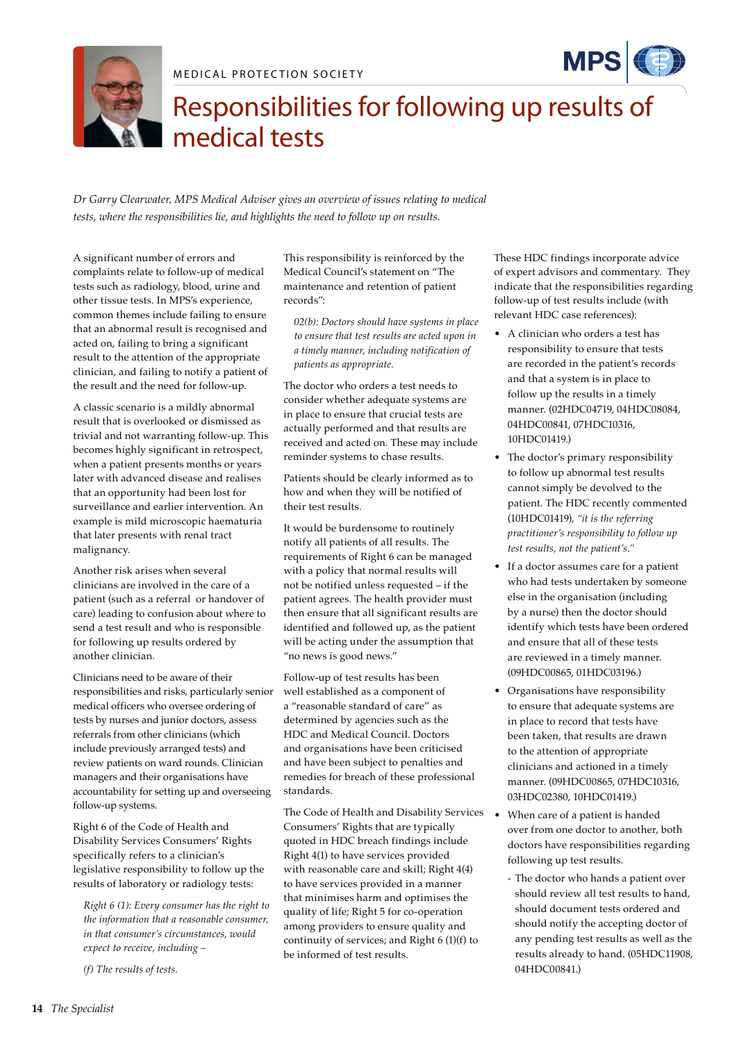





# Responsibilities for following up results of medical tests

*Dr Garry Clearwater, MPS Medical Adviser gives an overview of issues relating to medical tests, where the responsibilities lie, and highlights the need to follow up on results.* 

A significant number of errors and complaints relate to follow-up of medical tests such as radiology, blood, urine and other tissue tests. In MPS's experience, common themes include failing to ensure that an abnormal result is recognised and acted on, failing to bring a significant result to the attention of the appropriate clinician, and failing to notify a patient of the result and the need for follow-up.

A classic scenario is a mildly abnormal result that is overlooked or dismissed as trivial and not warranting follow-up. This becomes highly significant in retrospect, when a patient presents months or years later with advanced disease and realises that an opportunity had been lost for surveillance and earlier intervention. An example is mild microscopic haematuria that later presents with renal tract malignancy.

Another risk arises when several clinicians are involved in the care of a patient (such as a referral or handover of care) leading to confusion about where to send a test result and who is responsible for following up results ordered by another clinician.

Clinicians need to be aware of their responsibilities and risks, particularly senior medical officers who oversee ordering of tests by nurses and junior doctors, assess referrals from other clinicians (which include previously arranged tests) and review patients on ward rounds. Clinician managers and their organisations have accountability for setting up and overseeing follow-up systems.

Right 6 of the Code of Health and Disability Services Consumers' Rights specifically refers to a clinician's legislative responsibility to follow up the results of laboratory or radiology tests:

*Right 6 (1): Every consumer has the right to the information that a reasonable consumer, in that consumer's circumstances, would expect to receive, including –* 

*(f) The results of tests.* 

This responsibility is reinforced by the Medical Council's statement on "The maintenance and retention of patient records":

*02(b): Doctors should have systems in place to ensure that test results are acted upon in a timely manner, including notification of patients as appropriate.*

The doctor who orders a test needs to consider whether adequate systems are in place to ensure that crucial tests are actually performed and that results are received and acted on. These may include reminder systems to chase results.

Patients should be clearly informed as to how and when they will be notified of their test results.

It would be burdensome to routinely notify all patients of all results. The requirements of Right 6 can be managed with a policy that normal results will not be notified unless requested – if the patient agrees. The health provider must then ensure that all significant results are identified and followed up, as the patient will be acting under the assumption that "no news is good news."

Follow-up of test results has been well established as a component of a "reasonable standard of care" as determined by agencies such as the HDC and Medical Council. Doctors and organisations have been criticised and have been subject to penalties and remedies for breach of these professional standards.

The Code of Health and Disability Services Consumers' Rights that are typically quoted in HDC breach findings include Right 4(1) to have services provided with reasonable care and skill; Right 4(4) to have services provided in a manner that minimises harm and optimises the quality of life; Right 5 for co-operation among providers to ensure quality and continuity of services; and Right 6 (1)(f) to be informed of test results.

These HDC findings incorporate advice of expert advisors and commentary. They indicate that the responsibilities regarding follow-up of test results include (with relevant HDC case references):

- A clinician who orders a test has responsibility to ensure that tests are recorded in the patient's records and that a system is in place to follow up the results in a timely manner. (02HDC04719, 04HDC08084, 04HDC00841, 07HDC10316, 10HDC01419.)
- The doctor's primary responsibility to follow up abnormal test results cannot simply be devolved to the patient. The HDC recently commented (10HDC01419), *"it is the referring practitioner's responsibility to follow up test results, not the patient's."*
- If a doctor assumes care for a patient who had tests undertaken by someone else in the organisation (including by a nurse) then the doctor should identify which tests have been ordered and ensure that all of these tests are reviewed in a timely manner. (09HDC00865, 01HDC03196.)
- • Organisations have responsibility to ensure that adequate systems are in place to record that tests have been taken, that results are drawn to the attention of appropriate clinicians and actioned in a timely manner. (09HDC00865, 07HDC10316, 03HDC02380, 10HDC01419.)
- • When care of a patient is handed over from one doctor to another, both doctors have responsibilities regarding following up test results.
	- The doctor who hands a patient over should review all test results to hand, should document tests ordered and should notify the accepting doctor of any pending test results as well as the results already to hand. (05HDC11908, 04HDC00841.)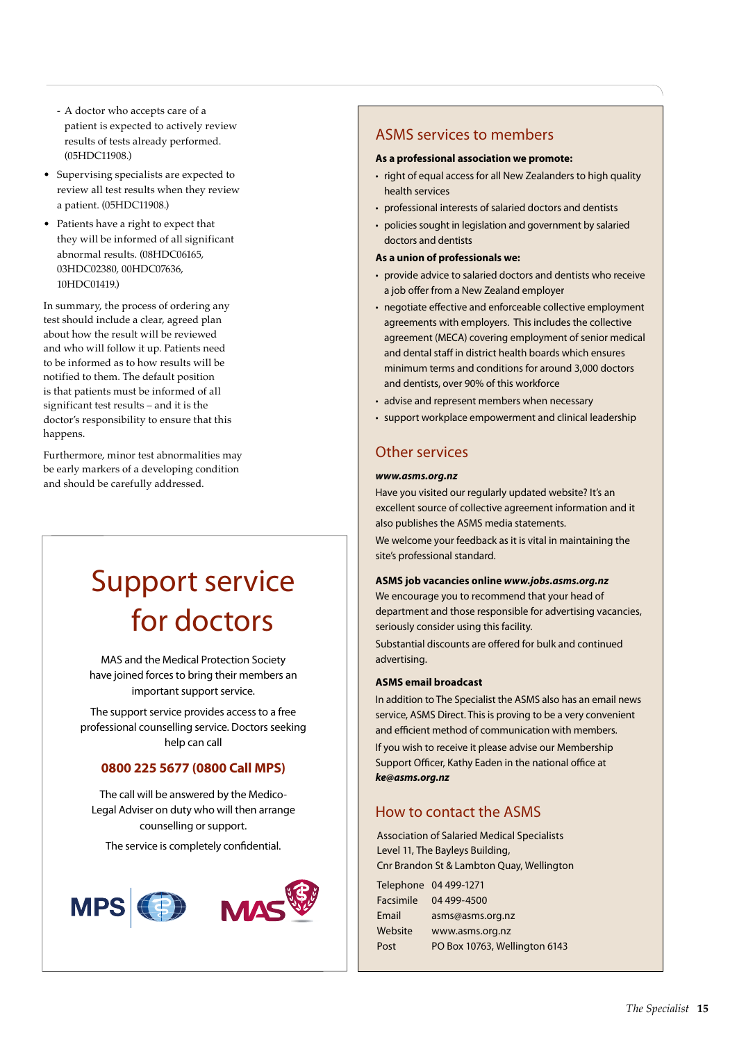- A doctor who accepts care of a patient is expected to actively review results of tests already performed. (05HDC11908.)
- • Supervising specialists are expected to review all test results when they review a patient. (05HDC11908.)
- • Patients have a right to expect that they will be informed of all significant abnormal results. (08HDC06165, 03HDC02380, 00HDC07636, 10HDC01419.)

In summary, the process of ordering any test should include a clear, agreed plan about how the result will be reviewed and who will follow it up. Patients need to be informed as to how results will be notified to them. The default position is that patients must be informed of all significant test results – and it is the doctor's responsibility to ensure that this happens.

Furthermore, minor test abnormalities may be early markers of a developing condition and should be carefully addressed.

# Support service for doctors

MAS and the Medical Protection Society have joined forces to bring their members an important support service.

The support service provides access to a free professional counselling service. Doctors seeking help can call

# **0800 225 5677 (0800 Call MPS)**

The call will be answered by the Medico-Legal Adviser on duty who will then arrange counselling or support.

The service is completely confidential.



# ASMS services to members

#### **As a professional association we promote:**

- right of equal access for all New Zealanders to high quality health services
- professional interests of salaried doctors and dentists
- policies sought in legislation and government by salaried doctors and dentists
- **As a union of professionals we:**
- provide advice to salaried doctors and dentists who receive a job offer from a New Zealand employer
- negotiate effective and enforceable collective employment agreements with employers. This includes the collective agreement (MECA) covering employment of senior medical and dental staff in district health boards which ensures minimum terms and conditions for around 3,000 doctors and dentists, over 90% of this workforce
- advise and represent members when necessary
- support workplace empowerment and clinical leadership

# Other services

#### *www.asms.org.nz*

Have you visited our regularly updated website? It's an excellent source of collective agreement information and it also publishes the ASMS media statements.

We welcome your feedback as it is vital in maintaining the site's professional standard.

#### **ASMS job vacancies online** *www.jobs.asms.org.nz*

We encourage you to recommend that your head of department and those responsible for advertising vacancies, seriously consider using this facility.

Substantial discounts are offered for bulk and continued advertising.

#### **ASMS email broadcast**

In addition to The Specialist the ASMS also has an email news service, ASMS Direct. This is proving to be a very convenient and efficient method of communication with members. If you wish to receive it please advise our Membership Support Officer, Kathy Eaden in the national office at *ke@asms.org.nz*

# How to contact the ASMS

Association of Salaried Medical Specialists Level 11, The Bayleys Building, Cnr Brandon St & Lambton Quay, Wellington

|                  | Telephone 04 499-1271         |
|------------------|-------------------------------|
| <b>Facsimile</b> | 04 499-4500                   |
| Email            | asms@asms.org.nz              |
| Website          | www.asms.org.nz               |
| Post             | PO Box 10763, Wellington 6143 |